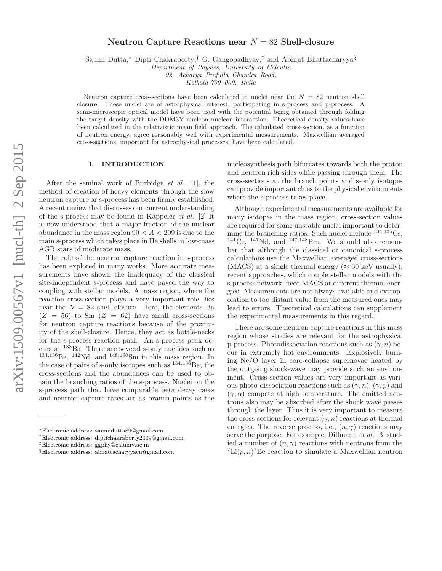# arXiv:1509.00567v1 [nucl-th] 2 Sep 2015 arXiv:1509.00567v1 [nucl-th] 2 Sep 2015

# Neutron Capture Reactions near  $N = 82$  Shell-closure

Saumi Dutta,<sup>∗</sup> Dipti Chakraborty,† G. Gangopadhyay,‡ and Abhijit Bhattacharyya§

*Department of Physics, University of Calcutta*

*92, Acharya Prafulla Chandra Road,*

*Kolkata-700 009, India*

Neutron capture cross-sections have been calculated in nuclei near the  $N = 82$  neutron shell closure. These nuclei are of astrophysical interest, participating in s-process and p-process. A semi-microscopic optical model have been used with the potential being obtained through folding the target density with the DDM3Y nucleon nucleon interaction. Theoretical density values have been calculated in the relativistic mean field approach. The calculated cross-section, as a function of neutron energy, agree reasonably well with experimental measurements. Maxwellian averaged cross-sections, important for astrophysical processes, have been calculated.

# I. INTRODUCTION

After the seminal work of Burbidge et al. [1], the method of creation of heavy elements through the slow neutron capture or s-process has been firmly established. A recent review that discusses our current understanding of the s-process may be found in Käppeler *et al.* [2] It is now understood that a major fraction of the nuclear abundance in the mass region  $90 < A < 209$  is due to the main s-process which takes place in He shells in low-mass AGB stars of moderate mass.

The role of the neutron capture reaction in s-process has been explored in many works. More accurate measurements have shown the inadequacy of the classical site-independent s-process and have paved the way to coupling with stellar models. A mass region, where the reaction cross-section plays a very important role, lies near the  $N = 82$  shell closure. Here, the elements Ba  $(Z = 56)$  to Sm  $(Z = 62)$  have small cross-sections for neutron capture reactions because of the proximity of the shell-closure. Hence, they act as bottle-necks for the s-process reaction path. An s-process peak occurs at <sup>138</sup>Ba. There are several s-only nuclides such as  $134,136$ Ba,  $142$ Nd, and  $148,150$ Sm in this mass region. In the case of pairs of s-only isotopes such as  $134,136$ Ba, the cross-sections and the abundances can be used to obtain the branching ratios of the s-process. Nuclei on the s-process path that have comparable beta decay rates and neutron capture rates act as branch points as the nucleosynthesis path bifurcates towards both the proton and neutron rich sides while passing through them. The cross-sections at the branch points and s-only isotopes can provide important clues to the physical environments where the s-process takes place.

Although experimental measurements are available for many isotopes in the mass region, cross-section values are required for some unstable nuclei important to determine the branching ratios. Such nuclei include  $^{134,135}Cs$ ,  $^{141}$ Ce,  $^{147}$ Nd, and  $^{147,148}$ Pm. We should also remember that although the classical or canonical s-process calculations use the Maxwellian averaged cross-sections (MACS) at a single thermal energy ( $\approx 30$  keV usually), recent approaches, which couple stellar models with the s-process network, need MACS at different thermal energies. Measurements are not always available and extrapolation to too distant value from the measured ones may lead to errors. Theoretical calculations can supplement the experimental measurements in this regard.

There are some neutron capture reactions in this mass region whose studies are relevant for the astrophysical p-process. Photodissociation reactions such as  $(\gamma, n)$  occur in extremely hot environments. Explosively burning Ne/O layer in core-collapse supernovae heated by the outgoing shock-wave may provide such an environment. Cross section values are very important as various photo-dissociation reactions such as  $(\gamma, n)$ ,  $(\gamma, p)$  and  $(\gamma, \alpha)$  compete at high temperature. The emitted neutrons also may be absorbed after the shock wave passes through the layer. Thus it is very important to measure the cross-sections for relevant  $(\gamma, n)$  reactions at thermal energies. The reverse process, i.e.,  $(n, \gamma)$  reactions may serve the purpose. For example, Dillmann *et al.* [3] studied a number of  $(n, \gamma)$  reactions with neutrons from the  ${}^{7}\text{Li}(p, n)$ <sup>7</sup>Be reaction to simulate a Maxwellian neutron

<sup>∗</sup>Electronic address: saumidutta89@gmail.com

<sup>†</sup>Electronic address: diptichakraborty2009@gmail.com

<sup>‡</sup>Electronic address: ggphy@caluniv.ac.in

<sup>§</sup>Electronic address: abhattacharyyacu@gmail.com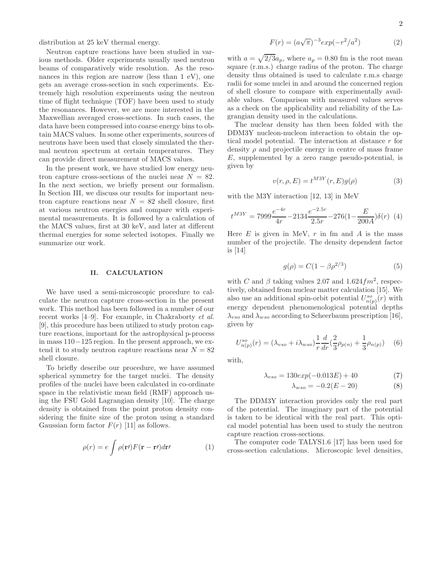distribution at 25 keV thermal energy.

Neutron capture reactions have been studied in various methods. Older experiments usually used neutron beams of comparatively wide resolution. As the resonances in this region are narrow (less than 1 eV), one gets an average cross-section in such experiments. Extremely high resolution experiments using the neutron time of flight technique (TOF) have been used to study the resonances. However, we are more interested in the Maxwellian averaged cross-sections. In such cases, the data have been compressed into coarse energy bins to obtain MACS values. In some other experiments, sources of neutrons have been used that closely simulated the thermal neutron spectrum at certain temperatures. They can provide direct measurement of MACS values.

In the present work, we have studied low energy neutron capture cross-sections of the nuclei near  $N = 82$ . In the next section, we briefly present our formalism. In Section III, we discuss our results for important neutron capture reactions near  $N = 82$  shell closure, first at various neutron energies and compare with experimental measurements. It is followed by a calculation of the MACS values, first at 30 keV, and later at different thermal energies for some selected isotopes. Finally we summarize our work.

# II. CALCULATION

We have used a semi-microscopic procedure to calculate the neutron capture cross-section in the present work. This method has been followed in a number of our recent works [4–9]. For example, in Chakraborty et al. [9], this procedure has been utilized to study proton capture reactions, important for the astrophysical p-process in mass 110−125 region. In the present approach, we extend it to study neutron capture reactions near  $N = 82$ shell closure.

To briefly describe our procedure, we have assumed spherical symmetry for the target nuclei. The density profiles of the nuclei have been calculated in co-ordinate space in the relativistic mean field (RMF) approach using the FSU Gold Lagrangian density [10]. The charge density is obtained from the point proton density considering the finite size of the proton using a standard Gaussian form factor  $F(r)$  [11] as follows.

$$
\rho(r) = e \int \rho(\mathbf{r}) F(\mathbf{r} - \mathbf{r}) d\mathbf{r} \qquad (1)
$$

$$
F(r) = (a\sqrt{\pi})^{-3} exp(-r^2/a^2)
$$
 (2)

with  $a = \sqrt{2/3}a_p$ , where  $a_p = 0.80$  fm is the root mean square (r.m.s.) charge radius of the proton. The charge density thus obtained is used to calculate r.m.s charge radii for some nuclei in and around the concerned region of shell closure to compare with experimentally available values. Comparison with measured values serves as a check on the applicability and reliability of the Lagrangian density used in the calculations.

The nuclear density has then been folded with the DDM3Y nucleon-nucleon interaction to obtain the optical model potential. The interaction at distance r for density  $\rho$  and projectile energy in centre of mass frame E, supplemented by a zero range pseudo-potential, is given by

$$
v(r, \rho, E) = t^{M3Y}(r, E)g(\rho)
$$
\n(3)

with the M3Y interaction [12, 13] in MeV

$$
t^{M3Y} = 7999 \frac{e^{-4r}}{4r} - 2134 \frac{e^{-2.5r}}{2.5r} - 276(1 - \frac{E}{200A})\delta(r)
$$
 (4)

Here  $E$  is given in MeV,  $r$  in fm and  $A$  is the mass number of the projectile. The density dependent factor is [14]

$$
g(\rho) = C(1 - \beta \rho^{2/3})
$$
 (5)

with C and  $\beta$  taking values 2.07 and 1.624 $fm^2$ , respectively, obtained from nuclear matter calculation [15]. We also use an additional spin-orbit potential  $U_{n(p)}^{so}(r)$  with energy dependent phenomenological potential depths  $\lambda_{vso}$  and  $\lambda_{wso}$  according to Scheerbaum prescription [16], given by

$$
U_{n(p)}^{so}(r) = (\lambda_{vso} + i\lambda_{wso})\frac{1}{r}\frac{d}{dr}(\frac{2}{3}\rho_{p(n)} + \frac{1}{3}\rho_{n(p)})
$$
(6)

with,

$$
\lambda_{vso} = 130 \exp(-0.013E) + 40 \tag{7}
$$

$$
\lambda_{wso} = -0.2(E - 20) \tag{8}
$$

The DDM3Y interaction provides only the real part of the potential. The imaginary part of the potential is taken to be identical with the real part. This optical model potential has been used to study the neutron capture reaction cross-sections.

The computer code TALYS1.6 [17] has been used for cross-section calculations. Microscopic level densities,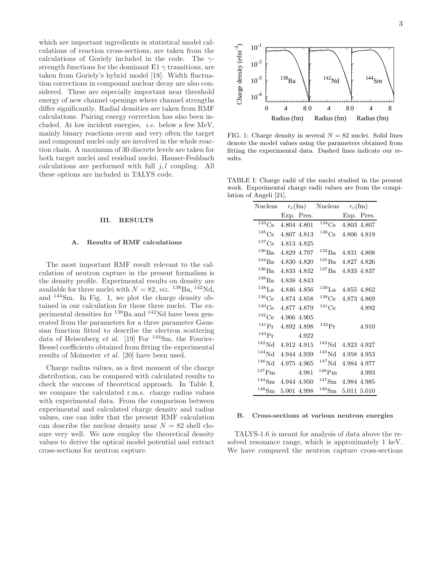which are important ingredients in statistical model calculations of reaction cross-sections, are taken from the calculations of Goriely included in the code. The  $\gamma$ strength functions for the dominant E1  $\gamma$  transitions, are taken from Goriely's hybrid model [18]. Width fluctuation corrections in compound nuclear decay are also considered. These are especially important near threshold energy of new channel openings where channel strengths differ significantly. Radial densities are taken from RMF calculations. Pairing energy correction has also been included. At low incident energies, i.e. below a few MeV, mainly binary reactions occur and very often the target and compound nuclei only are involved in the whole reaction chain. A maximum of 30 discrete levels are taken for both target nuclei and residual nuclei. Hauser-Feshbach calculations are performed with full  $j, l$  coupling. All these options are included in TALYS code.

### III. RESULTS

## A. Results of RMF calculations

The most important RMF result relevant to the calculation of neutron capture in the present formalism is the density profile. Experimental results on density are available for three nuclei with  $N = 82$ , *viz.* <sup>138</sup>Ba, <sup>142</sup>Nd, and <sup>144</sup>Sm. In Fig. 1, we plot the charge density obtained in our calculation for these three nuclei. The experimental densities for  $^{138}$ Ba and  $^{142}$ Nd have been generated from the parameters for a three parameter Gaussian function fitted to describe the electron scattering data of Heisenberg *et al.* [19] For <sup>144</sup>Sm, the Fourier-Bessel coefficients obtained from fitting the experimental results of Moinester et al. [20] have been used.

Charge radius values, as a first moment of the charge distribution, can be compared with calculated results to check the success of theoretical approach. In Table I, we compare the calculated r.m.s. charge radius values with experimental data. From the comparison between experimental and calculated charge density and radius values, one can infer that the present RMF calculation can describe the nuclear density near  $N = 82$  shell closure very well. We now employ the theoretical density values to derive the optical model potential and extract cross-sections for neutron capture.



FIG. 1: Charge density in several  $N = 82$  nuclei. Solid lines denote the model values using the parameters obtained from fitting the experimental data. Dashed lines indicate our results.

TABLE I: Charge radii of the nuclei studied in the present work. Experimental charge radii values are from the compilation of Angeli [21].

| Nucleus             | $r_c$ (fm)  |             | Nucleus               |             | $r_c$ (fm)  |
|---------------------|-------------|-------------|-----------------------|-------------|-------------|
|                     |             | Exp. Pres.  |                       |             | Exp. Pres.  |
| $133\text{Cs}$      | 4.804 4.801 |             | $134$ Cs              |             | 4.803 4.807 |
| ${}^{135}Cs$        | 4.807 4.813 |             | ${}^{136}\mathrm{Cs}$ |             | 4.806 4.819 |
| ${}^{137}Cs$        | 4.813 4.825 |             |                       |             |             |
| $^{130}$ Ba         |             | 4.829 4.797 | $^{132}Ba$            |             | 4.831 4.808 |
| $^{134}Ba$          | 4.830 4.820 |             | $^{135}Ba$            |             | 4.827 4.826 |
| $136$ Ba            | 4.833 4.832 |             | $^{137}\rm{Ba}$       |             | 4.833 4.837 |
| $^{138}$ Ba         | 4.838 4.843 |             |                       |             |             |
| $138$ La            | 4.846 4.856 |             | $^{139}$ La           |             | 4.855 4.862 |
| $136$ Ce            | 4.874 4.858 |             | $138$ Ce              |             | 4.873 4.869 |
| $140$ Ce            | 4.877 4.879 |             | $^{141}Ce$            |             | 4.892       |
| $142$ Ce            | 4.906 4.905 |             |                       |             |             |
| $^{141}Pr$          | 4.892 4.898 |             | $^{142}\mathrm{Pr}$   |             | 4.910       |
| $143 \text{Pr}$     |             | 4.922       |                       |             |             |
| $142$ Nd            | 4.912 4.915 |             | $^{143}\mathrm{Nd}$   |             | 4.923 4.927 |
| $144$ Nd            | 4.944 4.939 |             | $145$ Nd              |             | 4.958 4.953 |
| $146$ Nd            | 4.975 4.965 |             | $^{147}Nd$            |             | 4.984 4.977 |
| $^{147}$ Pm         |             | 4.981       | $148$ Pm              |             | 4.993       |
| $^{144}\mathrm{Sm}$ | 4.944 4.950 |             | $^{147}{\rm Sm}$      | 4.984 4.985 |             |
| $^{148}{\rm Sm}$    | 5.001 4.998 |             | $^{149}{\rm Sm}$      |             | 5.011 5.010 |

### B. Cross-sections at various neutron energies

TALYS-1.6 is meant for analysis of data above the resolved resonance range, which is approximately 1 keV. We have compared the neutron capture cross-sections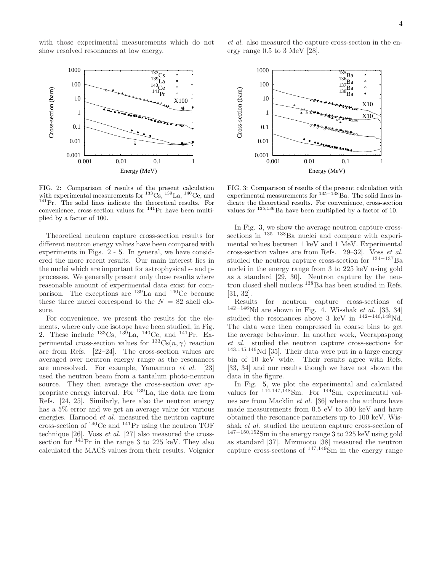with those experimental measurements which do not show resolved resonances at low energy.



FIG. 2: Comparison of results of the present calculation with experimental measurements for  ${}^{133}$ Cs,  ${}^{139}$ La,  ${}^{140}$ Ce, and <sup>141</sup>Pr. The solid lines indicate the theoretical results. For convenience, cross-section values for <sup>141</sup>Pr have been multiplied by a factor of 100.

Theoretical neutron capture cross-section results for different neutron energy values have been compared with experiments in Figs. 2 - 5. In general, we have considered the more recent results. Our main interest lies in the nuclei which are important for astrophysical s- and pprocesses. We generally present only those results where reasonable amount of experimental data exist for comparison. The exceptions are <sup>139</sup>La and <sup>140</sup>Ce because these three nuclei correspond to the  $N = 82$  shell closure.

For convenience, we present the results for the elements, where only one isotope have been studied, in Fig. 2. These include  $^{133}Cs$ ,  $^{139}La$ ,  $^{140}Ce$ , and  $^{141}Pr$ . Experimental cross-section values for  ${}^{133}Cs(n, \gamma)$  reaction are from Refs. [22–24]. The cross-section values are averaged over neutron energy range as the resonances are unresolved. For example, Yamamuro et al. [23] used the neutron beam from a tantalum photo-neutron source. They then average the cross-section over appropriate energy interval. For <sup>139</sup>La, the data are from Refs. [24, 25]. Similarly, here also the neutron energy has a 5% error and we get an average value for various energies. Harnood et al. measured the neutron capture cross-section of  $^{140}$ Ce and  $^{141}$ Pr using the neutron TOF technique [26]. Voss et al. [27] also measured the crosssection for  $^{141}$ Pr in the range 3 to 225 keV. They also calculated the MACS values from their results. Voignier

et al. also measured the capture cross-section in the energy range 0.5 to 3 MeV [28].



FIG. 3: Comparison of results of the present calculation with experimental measurements for <sup>135–138</sup>Ba. The solid lines indicate the theoretical results. For convenience, cross-section values for  $135,136$  Ba have been multiplied by a factor of 10.

In Fig. 3, we show the average neutron capture crosssections in <sup>135−138</sup>Ba nuclei and compare with experimental values between 1 keV and 1 MeV. Experimental cross-section values are from Refs. [29–32]. Voss et al. studied the neutron capture cross-section for <sup>134</sup>−<sup>137</sup>Ba nuclei in the energy range from 3 to 225 keV using gold as a standard [29, 30]. Neutron capture by the neutron closed shell nucleus <sup>138</sup>Ba has been studied in Refs. [31, 32].

Results for neutron capture cross-sections of  $142-146$ Nd are shown in Fig. 4. Wisshak et al. [33, 34] studied the resonances above 3 keV in  $^{142-146,148}$ Nd. The data were then compressed in coarse bins to get the average behaviour. In another work, Veerapaspong et al. studied the neutron capture cross-sections for <sup>143</sup>.145,<sup>146</sup>Nd [35]. Their data were put in a large energy bin of 10 keV wide. Their results agree with Refs. [33, 34] and our results though we have not shown the data in the figure.

In Fig. 5, we plot the experimental and calculated values for  $144,147,\overline{1}48\text{Sm}$ . For  $144\text{Sm}$ , experimental values are from Macklin et al. [36] where the authors have made measurements from 0.5 eV to 500 keV and have obtained the resonance parameters up to 100 keV. Wisshak et al. studied the neutron capture cross-section of <sup>147</sup>−150,<sup>152</sup>Sm in the energy range 3 to 225 keV using gold as standard [37]. Mizumoto [38] measured the neutron capture cross-sections of  $^{147,\dot{1}49}\rm \dot{S}m$  in the energy range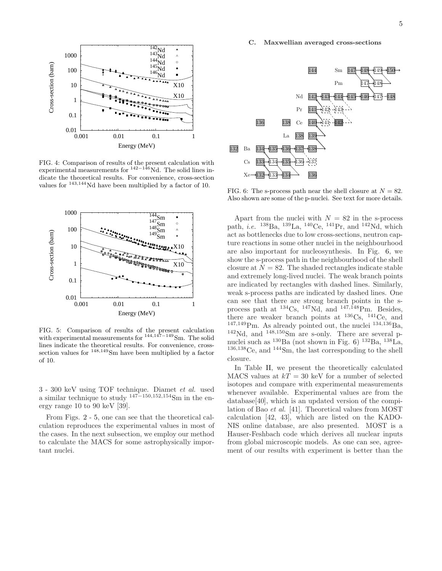C. Maxwellian averaged cross-sections



FIG. 6: The s-process path near the shell closure at  $N = 82$ . Also shown are some of the p-nuclei. See text for more details.

Apart from the nuclei with  $N = 82$  in the s-process path, *i.e.* <sup>138</sup>Ba, <sup>139</sup>La, <sup>140</sup>Ce, <sup>141</sup>Pr, and <sup>142</sup>Nd, which act as bottlenecks due to low cross-sections, neutron capture reactions in some other nuclei in the neighbourhood are also important for nucleosynthesis. In Fig. 6, we show the s-process path in the neighbourhood of the shell closure at  $N = 82$ . The shaded rectangles indicate stable and extremely long-lived nuclei. The weak branch points are indicated by rectangles with dashed lines. Similarly, weak s-process paths are indicated by dashed lines. One can see that there are strong branch points in the sprocess path at  $^{134}Cs$ ,  $^{147}Nd$ , and  $^{147,148}Pm$ . Besides, there are weaker branch points at <sup>136</sup>Cs, <sup>141</sup>Ce, and  $147,149$ Pm. As already pointed out, the nuclei  $134,136$ Ba,  $142$ Nd, and  $148,150$ Sm are s-only. There are several pnuclei such as <sup>130</sup>Ba (not shown in Fig. 6) <sup>132</sup>Ba, <sup>138</sup>La, <sup>136</sup>,<sup>138</sup>Ce, and <sup>144</sup>Sm, the last corresponding to the shell closure.

In Table II, we present the theoretically calculated MACS values at  $kT = 30$  keV for a number of selected isotopes and compare with experimental measurements whenever available. Experimental values are from the database[40], which is an updated version of the compilation of Bao et al. [41]. Theoretical values from MOST calculation [42, 43], which are listed on the KADO-NIS online database, are also presented. MOST is a Hauser-Feshbach code which derives all nuclear inputs from global microscopic models. As one can see, agreement of our results with experiment is better than the



FIG. 4: Comparison of results of the present calculation with experimental measurements for  $142-146$  Nd. The solid lines indicate the theoretical results. For convenience, cross-section values for <sup>143</sup>,<sup>144</sup>Nd have been multiplied by a factor of 10.



FIG. 5: Comparison of results of the present calculation with experimental measurements for <sup>144</sup>,147−<sup>149</sup>Sm. The solid lines indicate the theoretical results. For convenience, crosssection values for  $148,149$ Sm have been multiplied by a factor of 10.

3 - 300 keV using TOF technique. Diamet et al. used a similar technique to study  $147-150,152,154$ Sm in the energy range 10 to 90 keV [39].

From Figs. 2 - 5, one can see that the theoretical calculation reproduces the experimental values in most of the cases. In the next subsection, we employ our method to calculate the MACS for some astrophysically important nuclei.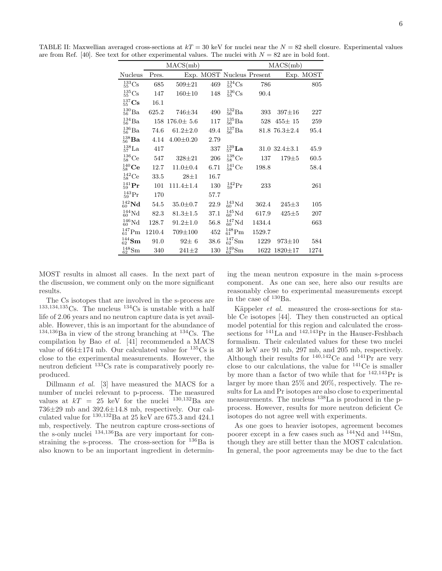TABLE II: Maxwellian averaged cross-sections at  $kT = 30$  keV for nuclei near the  $N = 82$  shell closure. Experimental values are from Ref. [40]. See text for other experimental values. The nuclei with  $N = 82$  are in bold font.

|                          |        | MACS(mb)        |      |                           | MACS(mb) |                     |           |  |
|--------------------------|--------|-----------------|------|---------------------------|----------|---------------------|-----------|--|
| Nucleus                  | Pres.  |                 |      | Exp. MOST Nucleus Present |          |                     | Exp. MOST |  |
| ${}^{133}_{55}Cs$        | 685    | $509 + 21$      | 469  | ${}^{134}_{55}Cs$         | 786      |                     | 805       |  |
| ${}^{135}_{55}Cs$        | 147    | $160 + 10$      | 148  | ${}^{136}_{55}Cs$         | 90.4     |                     |           |  |
| $^{137}_{55}\mathrm{Cs}$ | 16.1   |                 |      |                           |          |                     |           |  |
| $^{130}_{56}Ba$          | 625.2  | 746±34          | 490  | $^{132}_{56}Ba$           | 393      | $397 \pm 16$        | 227       |  |
| $^{134}_{56}Ba$          | 158    | $176.0 \pm 5.6$ | 117  | $^{135}_{56}Ba$           | 528      | $455 \pm 15$        | 259       |  |
| $^{136}_{56}Ba$          | 74.6   | $61.2 \pm 2.0$  | 49.4 | $^{137}_{56}Ba$           |          | $81.876.3 \pm 2.4$  | 95.4      |  |
| $^{138}_{56}$ Ba         | 4.14   | $4.00 \pm 0.20$ | 2.79 |                           |          |                     |           |  |
| $^{138}_{57}$ La         | 417    |                 | 337  | $^{139}_{57}$ La          |          | $31.0$ $32.4 + 3.1$ | 45.9      |  |
| ${}^{136}_{58}$ Ce       | 547    | $328 + 21$      | 206  | ${}^{138}_{58}$ Ce        | 137      | $179{\pm}5$         | 60.5      |  |
| $^{140}_{58}$ Ce         | 12.7   | $11.0 \pm 0.4$  | 6.71 | ${}^{141}_{58}$ Ce        | 198.8    |                     | 58.4      |  |
| ${}^{142}_{58}$ Ce       | 33.5   | $28 + 1$        | 16.7 |                           |          |                     |           |  |
| $^{141}_{59}\mathrm{Pr}$ | 101    | $111.4 + 1.4$   | 130  | $^{142}_{59}Pr$           | 233      |                     | 261       |  |
| $^{143}_{59}Pr$          | 170    |                 | 57.7 |                           |          |                     |           |  |
| $^{142}_{60}$ Nd         | 54.5   | $35.0 \pm 0.7$  | 22.9 | ${}^{143}_{60}$ Nd        | 362.4    | $245 + 3$           | 105       |  |
| ${}^{144}_{60}Nd$        | 82.3   | $81.3 + 1.5$    | 37.1 | ${}^{145}_{60}$ Nd        | 617.9    | $425 + 5$           | 207       |  |
| ${}^{146}_{60}Nd$        | 128.7  | $91.2 \pm 1.0$  | 56.8 | ${}^{147}_{60}Nd$         | 1434.4   |                     | 663       |  |
| $^{147}_{61}$ Pm         | 1210.4 | 709±100         | 452  | $^{148}_{61}$ Pm          | 1529.7   |                     |           |  |
| $^{144}_{62}$ Sm         | 91.0   | $92\pm 6$       | 38.6 | $^{147}_{62}$ Sm          | 1229     | $973 \pm 10$        | 584       |  |
| $^{148}_{62}$ Sm         | 340    | $241 \pm 2$     | 130  | $^{149}_{62}$ Sm          | 1622     | $1820 \pm 17$       | 1274      |  |

MOST results in almost all cases. In the next part of the discussion, we comment only on the more significant results.

The Cs isotopes that are involved in the s-process are 1.11 CS isotopes that are interested in  $\frac{134}{134}$ Cs is unstable with a half life of 2.06 years and no neutron capture data is yet available. However, this is an important for the abundance of  $134,136$ Ba in view of the strong branching at  $134$ Cs. The compilation by Bao et al. [41] recommended a MACS value of  $664\pm174$  mb. Our calculated value for  $135\text{Cs}$  is close to the experimental measurements. However, the neutron deficient <sup>133</sup>Cs rate is comparatively poorly reproduced.

Dillmann et al. [3] have measured the MACS for a number of nuclei relevant to p-process. The measured values at  $kT = 25$  keV for the nuclei  $^{130,132}$ Ba are 736±29 mb and 392.6±14.8 mb, respectively. Our calculated value for  $^{130,132}$ Ba at 25 keV are 675.3 and 424.1 mb, respectively. The neutron capture cross-sections of the s-only nuclei  $^{134,136}$ Ba are very important for constraining the s-process. The cross-section for  $^{136}Ba$  is also known to be an important ingredient in determining the mean neutron exposure in the main s-process component. As one can see, here also our results are reasonably close to experimental measurements except in the case of  $^{130}\text{Ba}$ .

Käppeler *et al.* measured the cross-sections for stable Ce isotopes [44]. They then constructed an optical model potential for this region and calculated the crosssections for  $^{141}$ La and  $^{142,143}$ Pr in the Hauser-Feshbach formalism. Their calculated values for these two nuclei at 30 keV are 91 mb, 297 mb, and 205 mb, respectively. Although their results for  $^{140,142}$ Ce and  $^{141}$ Pr are very close to our calculations, the value for  $^{141}$ Ce is smaller by more than a factor of two while that for  $^{142,143}\mathrm{Pr}$  is larger by more than 25% and 20%, respectively. The results for La and Pr isotopes are also close to experimental measurements. The nucleus <sup>138</sup>La is produced in the pprocess. However, results for more neutron deficient Ce isotopes do not agree well with experiments.

As one goes to heavier isotopes, agreement becomes poorer except in a few cases such as <sup>144</sup>Nd and <sup>144</sup>Sm, though they are still better than the MOST calculation. In general, the poor agreements may be due to the fact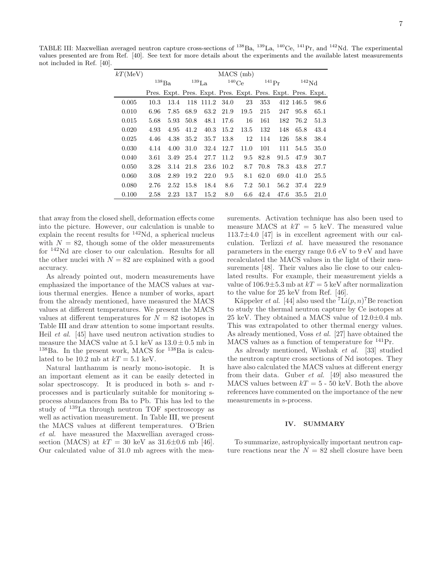TABLE III: Maxwellian averaged neutron capture cross-sections of <sup>138</sup>Ba, <sup>139</sup>La, <sup>140</sup>Ce, <sup>141</sup>Pr, and <sup>142</sup>Nd. The experimental values presented are from Ref. [40]. See text for more details about the experiments and the available latest measurements not included in Ref. [40].

| $kT$ (MeV) | MACS (mb)           |      |                     |       |          |                                                             |            |      |                |      |
|------------|---------------------|------|---------------------|-------|----------|-------------------------------------------------------------|------------|------|----------------|------|
|            | $^{138}\mathrm{Ba}$ |      | $^{139}\mathrm{La}$ |       | $140$ Ce |                                                             | $^{141}Pr$ |      | $\rm ^{142}Nd$ |      |
|            |                     |      |                     |       |          | Pres. Expt. Pres. Expt. Pres. Expt. Pres. Expt. Pres. Expt. |            |      |                |      |
| 0.005      | 10.3                | 13.4 | 118                 | 111.2 | 34.0     | 23                                                          | 353        |      | 412 146.5      | 98.6 |
| 0.010      | 6.96                | 7.85 | 68.9                | 63.2  | 21.9     | 19.5                                                        | 215        | 247  | 95.8           | 65.1 |
| 0.015      | 5.68                | 5.93 | 50.8                | 48.1  | 17.6     | 16                                                          | 161        | 182  | 76.2           | 51.3 |
| 0.020      | 4.93                | 4.95 | 41.2                | 40.3  | 15.2     | 13.5                                                        | 132        | 148  | 65.8           | 43.4 |
| 0.025      | 4.46                | 4.38 | 35.2                | 35.7  | 13.8     | 12                                                          | 114        | 126  | 58.8           | 38.4 |
| 0.030      | 4.14                | 4.00 | 31.0                | 32.4  | 12.7     | 11.0                                                        | 101        | 111  | 54.5           | 35.0 |
| 0.040      | 3.61                | 3.49 | 25.4                | 27.7  | 11.2     | 9.5                                                         | 82.8       | 91.5 | 47.9           | 30.7 |
| 0.050      | 3.28                | 3.14 | 21.8                | 23.6  | 10.2     | 8.7                                                         | 70.8       | 78.3 | 43.8           | 27.7 |
| 0.060      | 3.08                | 2.89 | 19.2                | 22.0  | 9.5      | 8.1                                                         | 62.0       | 69.0 | 41.0           | 25.5 |
| 0.080      | 2.76                | 2.52 | 15.8                | 18.4  | 8.6      | 7.2                                                         | 50.1       | 56.2 | 37.4           | 22.9 |
| 0.100      | 2.58                | 2.23 | 13.7                | 15.2  | 8.0      | 6.6                                                         | 42.4       | 47.6 | 35.5           | 21.0 |

that away from the closed shell, deformation effects come into the picture. However, our calculation is unable to explain the recent results for <sup>142</sup>Nd, a spherical nucleus with  $N = 82$ , though some of the older measurements for <sup>142</sup>Nd are closer to our calculation. Results for all the other nuclei with  $N = 82$  are explained with a good accuracy.

As already pointed out, modern measurements have emphasized the importance of the MACS values at various thermal energies. Hence a number of works, apart from the already mentioned, have measured the MACS values at different temperatures. We present the MACS values at different temperatures for  $N = 82$  isotopes in Table III and draw attention to some important results. Heil et al. [45] have used neutron activation studies to measure the MACS value at  $5.1 \text{ keV}$  as  $13.0 \pm 0.5 \text{ mb}$  in  $138\text{Ba}$ . In the present work, MACS for  $138\text{Ba}$  is calculated to be 10.2 mb at  $kT = 5.1$  keV.

Natural lanthanum is nearly mono-isotopic. It is an important element as it can be easily detected in solar spectroscopy. It is produced in both s- and rprocesses and is particularly suitable for monitoring sprocess abundances from Ba to Pb. This has led to the study of <sup>139</sup>La through neutron TOF spectroscopy as well as activation measurement. In Table III, we present the MACS values at different temperatures. O'Brien et al. have measured the Maxwellian averaged crosssection (MACS) at  $kT = 30 \text{ keV}$  as  $31.6 \pm 0.6 \text{ mb}$  [46]. Our calculated value of 31.0 mb agrees with the measurements. Activation technique has also been used to measure MACS at  $kT = 5$  keV. The measured value 113.7±4.0 [47] is in excellent agreement with our calculation. Terlizzi et al. have measured the resonance parameters in the energy range 0.6 eV to 9 eV and have recalculated the MACS values in the light of their measurements [48]. Their values also lie close to our calculated results. For example, their measurement yields a value of  $106.9\pm5.3$  mb at  $kT = 5$  keV after normalization to the value for 25 keV from Ref. [46].

Käppeler *et al.* [44] also used the  $\overline{f}$ Li $(p, n)$ <sup>7</sup>Be reaction to study the thermal neutron capture by Ce isotopes at 25 keV. They obtained a MACS value of  $12.0\pm0.4$  mb. This was extrapolated to other thermal energy values. As already mentioned, Voss et al. [27] have obtained the MACS values as a function of temperature for  $^{141}\mathrm{Pr}.$ 

As already mentioned, Wisshak et al. [33] studied the neutron capture cross sections of Nd isotopes. They have also calculated the MACS values at different energy from their data. Guber et al. [49] also measured the MACS values between  $kT = 5 - 50$  keV. Both the above references have commented on the importance of the new measurements in s-process.

# IV. SUMMARY

To summarize, astrophysically important neutron capture reactions near the  $N = 82$  shell closure have been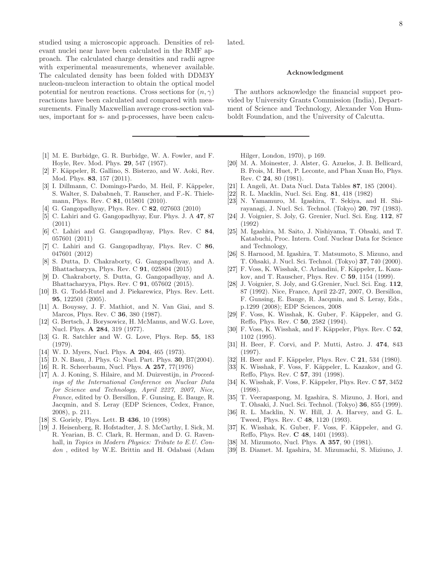8

studied using a microscopic approach. Densities of relevant nuclei near have been calculated in the RMF approach. The calculated charge densities and radii agree with experimental measurements, whenever available. The calculated density has been folded with DDM3Y nucleon-nucleon interaction to obtain the optical model potential for neutron reactions. Cross sections for  $(n, \gamma)$ reactions have been calculated and compared with measurements. Finally Maxwellian average cross-section values, important for s- and p-processes, have been calcu-

- [1] M. E. Burbidge, G. R. Burbidge, W. A. Fowler, and F. Hoyle, Rev. Mod. Phys. 29, 547 (1957).
- [2] F. Käppeler, R. Gallino, S. Bisterzo, and W. Aoki, Rev. Mod. Phys. 83, 157 (2011).
- [3] I. Dillmann, C. Domingo-Pardo, M. Heil, F. Käppeler, S. Walter, S. Dababneh, T. Rauscher, and F.-K. Thielemann, Phys. Rev. C 81, 015801 (2010).
- [4] G. Gangopadhyay, Phys. Rev. C 82, 027603 (2010)
- [5] C. Lahiri and G. Gangopadhyay, Eur. Phys. J. A 47, 87 (2011)
- [6] C. Lahiri and G. Gangopadhyay, Phys. Rev. C 84, 057601 (2011)
- [7] C. Lahiri and G. Gangopadhyay, Phys. Rev. C 86, 047601 (2012)
- [8] S. Dutta, D. Chakraborty, G. Gangopadhyay, and A. Bhattacharyya, Phys. Rev. C 91, 025804 (2015)
- [9] D. Chakraborty, S. Dutta, G. Gangopadhyay, and A. Bhattacharyya, Phys. Rev. C 91, 057602 (2015).
- [10] B. G. Todd-Rutel and J. Piekarewicz, Phys. Rev. Lett. 95, 122501 (2005).
- [11] A. Bouyssy, J. F. Mathiot, and N. Van Giai, and S. Marcos, Phys. Rev. C 36, 380 (1987).
- [12] G. Bertsch, J. Borysowicz, H. McManus, and W.G. Love, Nucl. Phys. A 284, 319 (1977).
- [13] G. R. Satchler and W. G. Love, Phys. Rep. 55, 183 (1979).
- [14] W. D. Myers, Nucl. Phys. **A 204**, 465 (1973).
- [15] D. N. Basu, J. Phys. G: Nucl. Part. Phys. 30, B7(2004).
- [16] R. R. Scheerbaum, Nucl. Phys. A 257, 77(1976)
- [17] A. J. Koning, S. Hilaire, and M. Duizvestijn, in *Proceedings of the International Conference on Nuclear Data for Science and Technology, April 2227, 2007, Nice, France*, edited by O. Bersillon, F. Gunsing, E. Bauge, R. Jacqmin, and S. Leray (EDP Sciences, Cedex, France, 2008), p. 211.
- [18] S. Goriely, Phys. Lett. B 436, 10 (1998)
- [19] J. Heisenberg, R. Hofstadter, J. S. McCarthy, I. Sick, M. R. Yearian, B. C. Clark, R. Herman, and D. G. Ravenhall, in *Topics in Modern Physics: Tribute to E.U. Condon* , edited by W.E. Brittin and H. Odabasi (Adam

lated.

### Acknowledgment

The authors acknowledge the financial support provided by University Grants Commission (India), Department of Science and Technology, Alexander Von Humboldt Foundation, and the University of Calcutta.

Hilger, London, 1970), p 169.

- [20] M. A. Moinester, J. Alster, G. Azuelos, J. B. Bellicard, B. Frois, M. Huet, P. Leconte, and Phan Xuan Ho, Phys. Rev. C 24, 80 (1981).
- [21] I. Angeli, At. Data Nucl. Data Tables 87, 185 (2004).
- [22] R. L. Macklin, Nucl. Sci. Eng. 81, 418 (1982)
- [23] N. Yamamuro, M. Igashira, T. Sekiya, and H. Shirayanagi, J. Nucl. Sci. Technol. (Tokyo) 20, 797 (1983).
- [24] J. Voignier, S. Joly, G. Grenier, Nucl. Sci. Eng. 112, 87 (1992)
- [25] M. Igashira, M. Saito, J. Nishiyama, T. Ohsaki, and T. Katabuchi, Proc. Intern. Conf. Nuclear Data for Science and Technology,
- [26] S. Harnood, M. Igashira, T. Matsumoto, S. Mizuno, and T. Ohsaki, J. Nucl. Sci. Technol. (Tokyo) 37, 740 (2000).
- [27] F. Voss, K. Wisshak, C. Arlandini, F. Käppeler, L. Kazakov, and T. Rauscher, Phys. Rev. C 59, 1154 (1999).
- [28] J. Voignier, S. Joly, and G.Grenier, Nucl. Sci. Eng. 112, 87 (1992). Nice, France, April 22-27, 2007, O. Bersillon, F. Gunsing, E. Bauge, R. Jacqmin, and S. Leray, Eds., p.1299 (2008); EDP Sciences, 2008
- [29] F. Voss, K. Wisshak, K. Guber, F. Käppeler, and G. Reffo, Phys. Rev. C 50, 2582 (1994).
- [30] F. Voss, K. Wisshak, and F. Käppeler, Phys. Rev. C 52, 1102 (1995).
- [31] H. Beer, F. Corvi, and P. Mutti, Astro. J. 474, 843 (1997).
- [32] H. Beer and F. Käppeler, Phys. Rev. C **21**, 534 (1980).
- [33] K. Wisshak, F. Voss, F. Käppeler, L. Kazakov, and G. Reffo, Phys. Rev. C 57, 391 (1998).
- [34] K. Wisshak, F. Voss, F. Käppeler, Phys. Rev. C **57**, 3452 (1998).
- [35] T. Veerapaspong, M. Igashira, S. Mizuno, J. Hori, and T. Ohsaki, J. Nucl. Sci. Technol. (Tokyo) 36, 855 (1999).
- [36] R. L. Macklin, N. W. Hill, J. A. Harvey, and G. L. Tweed, Phys. Rev. C 48, 1120 (1993).
- [37] K. Wisshak, K. Guber, F. Voss, F. Käppeler, and G. Reffo, Phys. Rev. C 48, 1401 (1993).
- [38] M. Mizumoto, Nucl. Phys. **A 357**, 90 (1981).
- [39] B. Diamet. M. Igashira, M. Mizumachi, S. Miziuno, J.